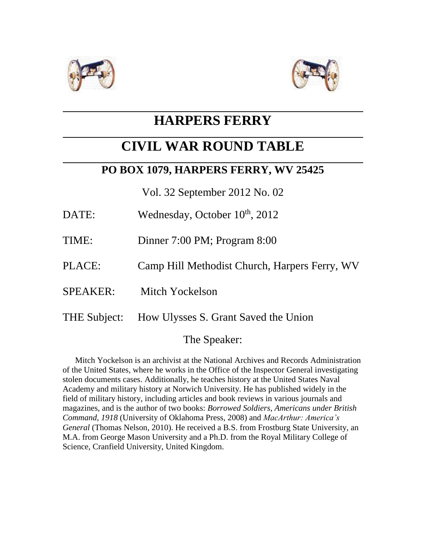



## **HARPERS FERRY**

# **CIVIL WAR ROUND TABLE**

### **PO BOX 1079, HARPERS FERRY, WV 25425**

Vol. 32 September 2012 No. 02

- DATE: Wednesday, October  $10^{th}$ ,  $2012$
- TIME: Dinner 7:00 PM; Program 8:00
- PLACE: Camp Hill Methodist Church, Harpers Ferry, WV
- SPEAKER: Mitch Yockelson
- THE Subject: How Ulysses S. Grant Saved the Union

### The Speaker:

 Mitch Yockelson is an archivist at the National Archives and Records Administration of the United States, where he works in the Office of the Inspector General investigating stolen documents cases. Additionally, he teaches history at the United States Naval Academy and military history at Norwich University. He has published widely in the field of military history, including articles and book reviews in various journals and magazines, and is the author of two books: *Borrowed Soldiers*, *Americans under British Command, 1918* (University of Oklahoma Press, 2008) and *MacArthur: America's General* (Thomas Nelson, 2010). He received a B.S. from Frostburg State University, an M.A. from George Mason University and a Ph.D. from the Royal Military College of Science, Cranfield University, United Kingdom.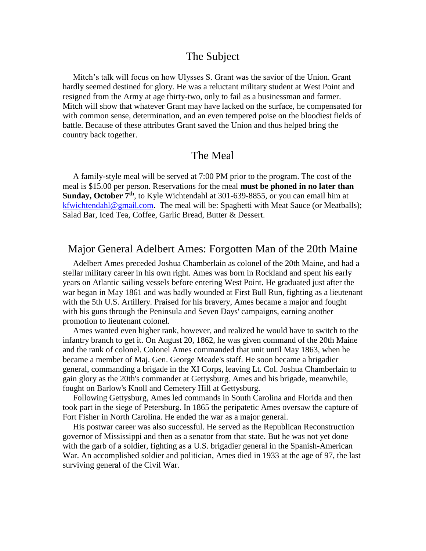#### The Subject

 Mitch's talk will focus on how Ulysses S. Grant was the savior of the Union. Grant hardly seemed destined for glory. He was a reluctant military student at West Point and resigned from the Army at age thirty-two, only to fail as a businessman and farmer. Mitch will show that whatever Grant may have lacked on the surface, he compensated for with common sense, determination, and an even tempered poise on the bloodiest fields of battle. Because of these attributes Grant saved the Union and thus helped bring the country back together.

#### The Meal

 A family-style meal will be served at 7:00 PM prior to the program. The cost of the meal is \$15.00 per person. Reservations for the meal **must be phoned in no later than Sunday, October 7th**, to Kyle Wichtendahl at 301-639-8855, or you can email him at [kfwichtendahl@gmail.com.](mailto:kfwichtendahl@gmail.com) The meal will be: Spaghetti with Meat Sauce (or Meatballs); Salad Bar, Iced Tea, Coffee, Garlic Bread, Butter & Dessert.

#### Major General Adelbert Ames: Forgotten Man of the 20th Maine

 Adelbert Ames preceded Joshua Chamberlain as colonel of the 20th Maine, and had a stellar military career in his own right. Ames was born in Rockland and spent his early years on Atlantic sailing vessels before entering West Point. He graduated just after the war began in May 1861 and was badly wounded at First Bull Run, fighting as a lieutenant with the 5th U.S. Artillery. Praised for his bravery, Ames became a major and fought with his guns through the Peninsula and Seven Days' campaigns, earning another promotion to lieutenant colonel.

 Ames wanted even higher rank, however, and realized he would have to switch to the infantry branch to get it. On August 20, 1862, he was given command of the 20th Maine and the rank of colonel. Colonel Ames commanded that unit until May 1863, when he became a member of Maj. Gen. George Meade's staff. He soon became a brigadier general, commanding a brigade in the XI Corps, leaving Lt. Col. Joshua Chamberlain to gain glory as the 20th's commander at Gettysburg. Ames and his brigade, meanwhile, fought on Barlow's Knoll and Cemetery Hill at Gettysburg.

 Following Gettysburg, Ames led commands in South Carolina and Florida and then took part in the siege of Petersburg. In 1865 the peripatetic Ames oversaw the capture of Fort Fisher in North Carolina. He ended the war as a major general.

 His postwar career was also successful. He served as the Republican Reconstruction governor of Mississippi and then as a senator from that state. But he was not yet done with the garb of a soldier, fighting as a U.S. brigadier general in the Spanish-American War. An accomplished soldier and politician, Ames died in 1933 at the age of 97, the last surviving general of the Civil War.